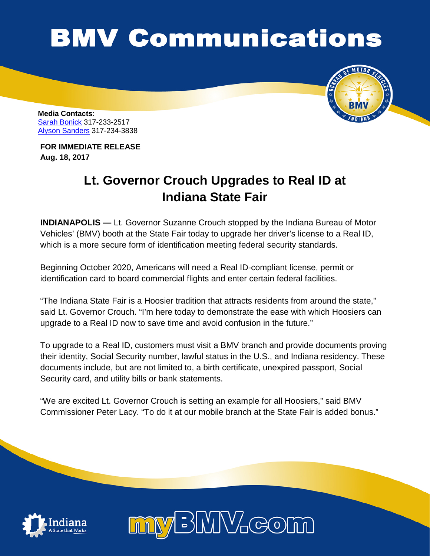## **BMV Communications**



**Media Contacts**: Sarah [Bonick](mailto:sbonick@bmv.in.gov) 317-233-2517 [Alyson Sanders](mailto:alysanders@bmv.in.gov) 317-234-3838

**FOR IMMEDIATE RELEASE Aug. 18, 2017**

## **Lt. Governor Crouch Upgrades to Real ID at Indiana State Fair**

**INDIANAPOLIS —** Lt. Governor Suzanne Crouch stopped by the Indiana Bureau of Motor Vehicles' (BMV) booth at the State Fair today to upgrade her driver's license to a Real ID, which is a more secure form of identification meeting federal security standards.

Beginning October 2020, Americans will need a Real ID-compliant license, permit or identification card to board commercial flights and enter certain federal facilities.

"The Indiana State Fair is a Hoosier tradition that attracts residents from around the state," said Lt. Governor Crouch. "I'm here today to demonstrate the ease with which Hoosiers can upgrade to a Real ID now to save time and avoid confusion in the future."

To upgrade to a Real ID, customers must visit a BMV branch and provide documents proving their identity, Social Security number, lawful status in the U.S., and Indiana residency. These documents include, but are not limited to, a birth certificate, unexpired passport, Social Security card, and utility bills or bank statements.

"We are excited Lt. Governor Crouch is setting an example for all Hoosiers," said BMV Commissioner Peter Lacy. "To do it at our mobile branch at the State Fair is added bonus."